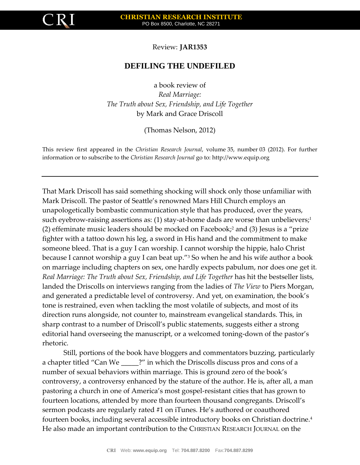

Review: **JAR1353**

## **DEFILING THE UNDEFILED**

a book review of *Real Marriage: The Truth about Sex, Friendship, and Life Together* by Mark and Grace Driscoll

(Thomas Nelson, 2012)

This review first appeared in the *Christian Research Journal*, volume 35, number 03 (2012). For further information or to subscribe to the *Christian Research Journal* go to: [http://www.equip.org](http://www.equip.org/)

That Mark Driscoll has said something shocking will shock only those unfamiliar with Mark Driscoll. The pastor of Seattle's renowned Mars Hill Church employs an unapologetically bombastic communication style that has produced, over the years, such eyebrow-raising assertions as: (1) stay-at-home dads are worse than unbelievers;<sup>1</sup> (2) effeminate music leaders should be mocked on Facebook;<sup>2</sup> and (3) Jesus is a "prize fighter with a tattoo down his leg, a sword in His hand and the commitment to make someone bleed. That is a guy I can worship. I cannot worship the hippie, halo Christ because I cannot worship a guy I can beat up."<sup>3</sup> So when he and his wife author a book on marriage including chapters on sex, one hardly expects pabulum, nor does one get it*. Real Marriage: The Truth about Sex, Friendship, and Life Together* has hit the bestseller lists, landed the Driscolls on interviews ranging from the ladies of *The View* to Piers Morgan, and generated a predictable level of controversy. And yet, on examination, the book's tone is restrained, even when tackling the most volatile of subjects, and most of its direction runs alongside, not counter to, mainstream evangelical standards. This, in sharp contrast to a number of Driscoll's public statements, suggests either a strong editorial hand overseeing the manuscript, or a welcomed toning-down of the pastor's rhetoric.

Still, portions of the book have bloggers and commentators buzzing, particularly a chapter titled "Can We \_\_\_\_\_?" in which the Driscolls discuss pros and cons of a number of sexual behaviors within marriage. This is ground zero of the book's controversy, a controversy enhanced by the stature of the author. He is, after all, a man pastoring a church in one of America's most gospel-resistant cities that has grown to fourteen locations, attended by more than fourteen thousand congregants. Driscoll's sermon podcasts are regularly rated #1 on iTunes. He's authored or coauthored fourteen books, including several accessible introductory books on Christian doctrine.<sup>4</sup> He also made an important contribution to the CHRISTIAN RESEARCH JOURNAL on the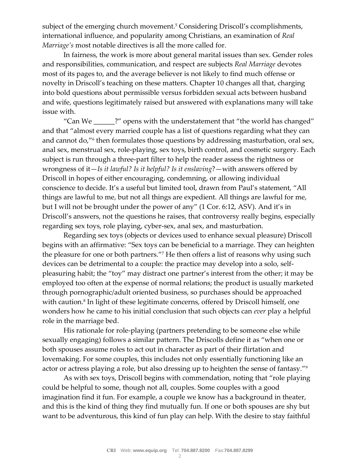subject of the emerging church movement.<sup>5</sup> Considering Driscoll's ccomplishments, international influence, and popularity among Christians, an examination of *Real Marriage's* most notable directives is all the more called for.

In fairness, the work is more about general marital issues than sex. Gender roles and responsibilities, communication, and respect are subjects *Real Marriage* devotes most of its pages to, and the average believer is not likely to find much offense or novelty in Driscoll's teaching on these matters. Chapter 10 changes all that, charging into bold questions about permissible versus forbidden sexual acts between husband and wife, questions legitimately raised but answered with explanations many will take issue with.

"Can We \_\_\_\_\_\_?" opens with the understatement that "the world has changed" and that "almost every married couple has a list of questions regarding what they can and cannot do,"<sup>6</sup> then formulates those questions by addressing masturbation, oral sex, anal sex, menstrual sex, role-playing, sex toys, birth control, and cosmetic surgery. Each subject is run through a three-part filter to help the reader assess the rightness or wrongness of it—*Is it lawful? Is it helpful? Is it enslaving*?—with answers offered by Driscoll in hopes of either encouraging, condemning, or allowing individual conscience to decide. It's a useful but limited tool, drawn from Paul's statement, "All things are lawful to me, but not all things are expedient. All things are lawful for me, but I will not be brought under the power of any" (1 Cor. 6:12, ASV). And it's in Driscoll's answers, not the questions he raises, that controversy really begins, especially regarding sex toys, role playing, cyber-sex, anal sex, and masturbation.

Regarding sex toys (objects or devices used to enhance sexual pleasure) Driscoll begins with an affirmative: "Sex toys can be beneficial to a marriage. They can heighten the pleasure for one or both partners."<sup>7</sup> He then offers a list of reasons why using such devices can be detrimental to a couple: the practice may develop into a solo, selfpleasuring habit; the "toy" may distract one partner's interest from the other; it may be employed too often at the expense of normal relations; the product is usually marketed through pornographic/adult oriented business, so purchases should be approached with caution.<sup>8</sup> In light of these legitimate concerns, offered by Driscoll himself, one wonders how he came to his initial conclusion that such objects can *ever* play a helpful role in the marriage bed.

His rationale for role-playing (partners pretending to be someone else while sexually engaging) follows a similar pattern. The Driscolls define it as "when one or both spouses assume roles to act out in character as part of their flirtation and lovemaking. For some couples, this includes not only essentially functioning like an actor or actress playing a role, but also dressing up to heighten the sense of fantasy."<sup>9</sup>

As with sex toys, Driscoll begins with commendation, noting that "role playing could be helpful to some, though not all, couples. Some couples with a good imagination find it fun. For example, a couple we know has a background in theater, and this is the kind of thing they find mutually fun. If one or both spouses are shy but want to be adventurous, this kind of fun play can help. With the desire to stay faithful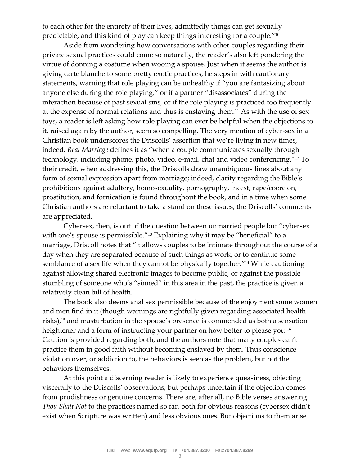to each other for the entirety of their lives, admittedly things can get sexually predictable, and this kind of play can keep things interesting for a couple."<sup>10</sup>

Aside from wondering how conversations with other couples regarding their private sexual practices could come so naturally, the reader's also left pondering the virtue of donning a costume when wooing a spouse. Just when it seems the author is giving carte blanche to some pretty exotic practices, he steps in with cautionary statements, warning that role playing can be unhealthy if "you are fantasizing about anyone else during the role playing," or if a partner "disassociates" during the interaction because of past sexual sins, or if the role playing is practiced too frequently at the expense of normal relations and thus is enslaving them.<sup>11</sup> As with the use of sex toys, a reader is left asking how role playing can ever be helpful when the objections to it, raised again by the author, seem so compelling. The very mention of cyber-sex in a Christian book underscores the Driscolls' assertion that we're living in new times, indeed. *Real Marriage* defines it as "when a couple communicates sexually through technology, including phone, photo, video, e-mail, chat and video conferencing."<sup>12</sup> To their credit, when addressing this, the Driscolls draw unambiguous lines about any form of sexual expression apart from marriage; indeed, clarity regarding the Bible's prohibitions against adultery, homosexuality, pornography, incest, rape/coercion, prostitution, and fornication is found throughout the book, and in a time when some Christian authors are reluctant to take a stand on these issues, the Driscolls' comments are appreciated.

Cybersex, then, is out of the question between unmarried people but "cybersex with one's spouse is permissible."<sup>13</sup> Explaining why it may be "beneficial" to a marriage, Driscoll notes that "it allows couples to be intimate throughout the course of a day when they are separated because of such things as work, or to continue some semblance of a sex life when they cannot be physically together."<sup>14</sup> While cautioning against allowing shared electronic images to become public, or against the possible stumbling of someone who's "sinned" in this area in the past, the practice is given a relatively clean bill of health.

The book also deems anal sex permissible because of the enjoyment some women and men find in it (though warnings are rightfully given regarding associated health risks),<sup>15</sup> and masturbation in the spouse's presence is commended as both a sensation heightener and a form of instructing your partner on how better to please you.<sup>16</sup> Caution is provided regarding both, and the authors note that many couples can't practice them in good faith without becoming enslaved by them. Thus conscience violation over, or addiction to, the behaviors is seen as the problem, but not the behaviors themselves.

At this point a discerning reader is likely to experience queasiness, objecting viscerally to the Driscolls' observations, but perhaps uncertain if the objection comes from prudishness or genuine concerns. There are, after all, no Bible verses answering *Thou Shalt Not* to the practices named so far, both for obvious reasons (cybersex didn't exist when Scripture was written) and less obvious ones. But objections to them arise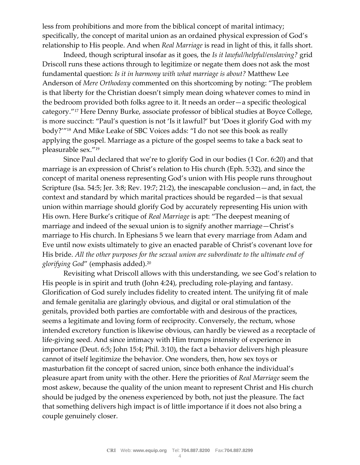less from prohibitions and more from the biblical concept of marital intimacy; specifically, the concept of marital union as an ordained physical expression of God's relationship to His people. And when *Real Marriage* is read in light of this, it falls short.

Indeed, though scriptural insofar as it goes, the *Is it lawful/helpful/enslaving?* grid Driscoll runs these actions through to legitimize or negate them does not ask the most fundamental question: *Is it in harmony with what marriage is about?* Matthew Lee Anderson of *Mere Orthodoxy* commented on this shortcoming by noting: "The problem is that liberty for the Christian doesn't simply mean doing whatever comes to mind in the bedroom provided both folks agree to it. It needs an order—a specific theological category."<sup>17</sup> Here Denny Burke, associate professor of biblical studies at Boyce College, is more succinct: "Paul's question is not 'Is it lawful?' but 'Does it glorify God with my body?'"<sup>18</sup> And Mike Leake of SBC Voices adds: "I do not see this book as really applying the gospel. Marriage as a picture of the gospel seems to take a back seat to pleasurable sex."<sup>19</sup>

Since Paul declared that we're to glorify God in our bodies (1 Cor. 6:20) and that marriage is an expression of Christ's relation to His church (Eph. 5:32), and since the concept of marital oneness representing God's union with His people runs throughout Scripture (Isa. 54:5; Jer. 3:8; Rev. 19:7; 21:2), the inescapable conclusion—and, in fact, the context and standard by which marital practices should be regarded—is that sexual union within marriage should glorify God by accurately representing His union with His own. Here Burke's critique of *Real Marriage* is apt: "The deepest meaning of marriage and indeed of the sexual union is to signify another marriage—Christ's marriage to His church. In Ephesians 5 we learn that every marriage from Adam and Eve until now exists ultimately to give an enacted parable of Christ's covenant love for His bride. *All the other purposes for the sexual union are subordinate to the ultimate end of glorifying God*" (emphasis added).<sup>20</sup>

Revisiting what Driscoll allows with this understanding, we see God's relation to His people is in spirit and truth (John 4:24), precluding role-playing and fantasy. Glorification of God surely includes fidelity to created intent. The unifying fit of male and female genitalia are glaringly obvious, and digital or oral stimulation of the genitals, provided both parties are comfortable with and desirous of the practices, seems a legitimate and loving form of reciprocity. Conversely, the rectum, whose intended excretory function is likewise obvious, can hardly be viewed as a receptacle of life-giving seed. And since intimacy with Him trumps intensity of experience in importance (Deut. 6:5; John 15:4; Phil. 3:10), the fact a behavior delivers high pleasure cannot of itself legitimize the behavior. One wonders, then, how sex toys or masturbation fit the concept of sacred union, since both enhance the individual's pleasure apart from unity with the other. Here the priorities of *Real Marriage* seem the most askew, because the quality of the union meant to represent Christ and His church should be judged by the oneness experienced by both, not just the pleasure. The fact that something delivers high impact is of little importance if it does not also bring a couple genuinely closer.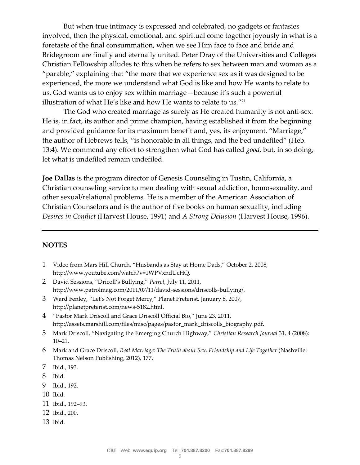But when true intimacy is expressed and celebrated, no gadgets or fantasies involved, then the physical, emotional, and spiritual come together joyously in what is a foretaste of the final consummation, when we see Him face to face and bride and Bridegroom are finally and eternally united. Peter Dray of the Universities and Colleges Christian Fellowship alludes to this when he refers to sex between man and woman as a "parable," explaining that "the more that we experience sex as it was designed to be experienced, the more we understand what God is like and how He wants to relate to us. God wants us to enjoy sex within marriage—because it's such a powerful illustration of what He's like and how He wants to relate to us."<sup>21</sup>

The God who created marriage as surely as He created humanity is not anti-sex. He is, in fact, its author and prime champion, having established it from the beginning and provided guidance for its maximum benefit and, yes, its enjoyment. "Marriage," the author of Hebrews tells, "is honorable in all things, and the bed undefiled" (Heb. 13:4). We commend any effort to strengthen what God has called *good*, but, in so doing, let what is undefiled remain undefiled.

**Joe Dallas** is the program director of Genesis Counseling in Tustin, California, a Christian counseling service to men dealing with sexual addiction, homosexuality, and other sexual/relational problems. He is a member of the American Association of Christian Counselors and is the author of five books on human sexuality, including *Desires in Conflict* (Harvest House, 1991) and *A Strong Delusion* (Harvest House, 1996).

## **NOTES**

- 1 Video from Mars Hill Church, "Husbands as Stay at Home Dads," October 2, 2008, http://www.youtube.com/watch?v=1WPVxndUcHQ.
- 2 David Sessions, "Dricoll's Bullying," *Patrol*, July 11, 2011, http://www.patrolmag.com/2011/07/11/david-sessions/driscolls-bullying/.
- 3 Ward Fenley, "Let's Not Forget Mercy," Planet Preterist, January 8, 2007, http://planetpreterist.com/news-5182.html.
- 4 "Pastor Mark Driscoll and Grace Driscoll Official Bio," June 23, 2011, http://assets.marshill.com/files/misc/pages/pastor\_mark\_driscolls\_biography.pdf.
- 5 Mark Driscoll, "Navigating the Emerging Church Highway," *Christian Research Journal* 31, 4 (2008): 10–21.
- 6 Mark and Grace Driscoll, *Real Marriage: The Truth about Sex, Friendship and Life Together* (Nashville: Thomas Nelson Publishing, 2012), 177.
- 7 Ibid., 193.
- 8 Ibid.
- 9 Ibid., 192.
- 10 Ibid.
- 11 Ibid., 192–93.
- 12 Ibid., 200.
- 13 Ibid.